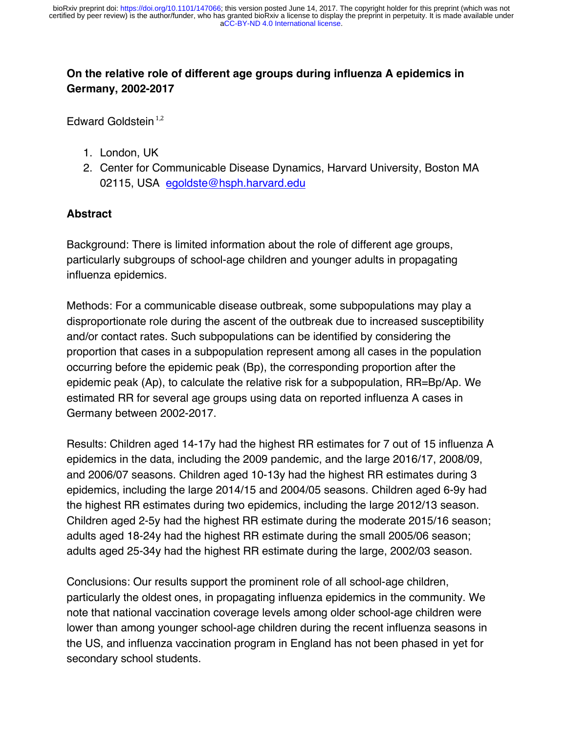# **On the relative role of different age groups during influenza A epidemics in Germany, 2002-2017**

Edward Goldstein $1,2$ 

- 1. London, UK
- 2. Center for Communicable Disease Dynamics, Harvard University, Boston MA 02115, USA egoldste@hsph.harvard.edu

## **Abstract**

Background: There is limited information about the role of different age groups, particularly subgroups of school-age children and younger adults in propagating influenza epidemics.

Methods: For a communicable disease outbreak, some subpopulations may play a disproportionate role during the ascent of the outbreak due to increased susceptibility and/or contact rates. Such subpopulations can be identified by considering the proportion that cases in a subpopulation represent among all cases in the population occurring before the epidemic peak (Bp), the corresponding proportion after the epidemic peak (Ap), to calculate the relative risk for a subpopulation, RR=Bp/Ap. We estimated RR for several age groups using data on reported influenza A cases in Germany between 2002-2017.

Results: Children aged 14-17y had the highest RR estimates for 7 out of 15 influenza A epidemics in the data, including the 2009 pandemic, and the large 2016/17, 2008/09, and 2006/07 seasons. Children aged 10-13y had the highest RR estimates during 3 epidemics, including the large 2014/15 and 2004/05 seasons. Children aged 6-9y had the highest RR estimates during two epidemics, including the large 2012/13 season. Children aged 2-5y had the highest RR estimate during the moderate 2015/16 season; adults aged 18-24y had the highest RR estimate during the small 2005/06 season; adults aged 25-34y had the highest RR estimate during the large, 2002/03 season.

Conclusions: Our results support the prominent role of all school-age children, particularly the oldest ones, in propagating influenza epidemics in the community. We note that national vaccination coverage levels among older school-age children were lower than among younger school-age children during the recent influenza seasons in the US, and influenza vaccination program in England has not been phased in yet for secondary school students.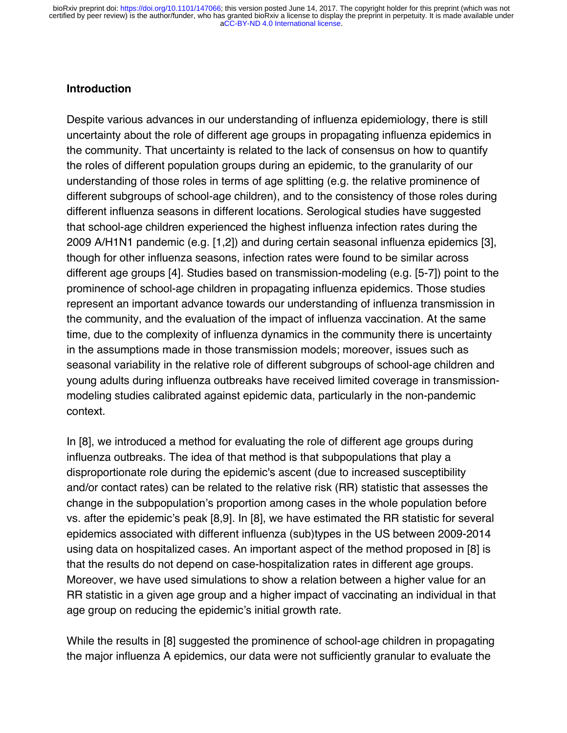#### **Introduction**

Despite various advances in our understanding of influenza epidemiology, there is still uncertainty about the role of different age groups in propagating influenza epidemics in the community. That uncertainty is related to the lack of consensus on how to quantify the roles of different population groups during an epidemic, to the granularity of our understanding of those roles in terms of age splitting (e.g. the relative prominence of different subgroups of school-age children), and to the consistency of those roles during different influenza seasons in different locations. Serological studies have suggested that school-age children experienced the highest influenza infection rates during the 2009 A/H1N1 pandemic (e.g. [1,2]) and during certain seasonal influenza epidemics [3], though for other influenza seasons, infection rates were found to be similar across different age groups [4]. Studies based on transmission-modeling (e.g. [5-7]) point to the prominence of school-age children in propagating influenza epidemics. Those studies represent an important advance towards our understanding of influenza transmission in the community, and the evaluation of the impact of influenza vaccination. At the same time, due to the complexity of influenza dynamics in the community there is uncertainty in the assumptions made in those transmission models; moreover, issues such as seasonal variability in the relative role of different subgroups of school-age children and young adults during influenza outbreaks have received limited coverage in transmissionmodeling studies calibrated against epidemic data, particularly in the non-pandemic context.

In [8], we introduced a method for evaluating the role of different age groups during influenza outbreaks. The idea of that method is that subpopulations that play a disproportionate role during the epidemic's ascent (due to increased susceptibility and/or contact rates) can be related to the relative risk (RR) statistic that assesses the change in the subpopulation's proportion among cases in the whole population before vs. after the epidemic's peak [8,9]. In [8], we have estimated the RR statistic for several epidemics associated with different influenza (sub)types in the US between 2009-2014 using data on hospitalized cases. An important aspect of the method proposed in [8] is that the results do not depend on case-hospitalization rates in different age groups. Moreover, we have used simulations to show a relation between a higher value for an RR statistic in a given age group and a higher impact of vaccinating an individual in that age group on reducing the epidemic's initial growth rate.

While the results in [8] suggested the prominence of school-age children in propagating the major influenza A epidemics, our data were not sufficiently granular to evaluate the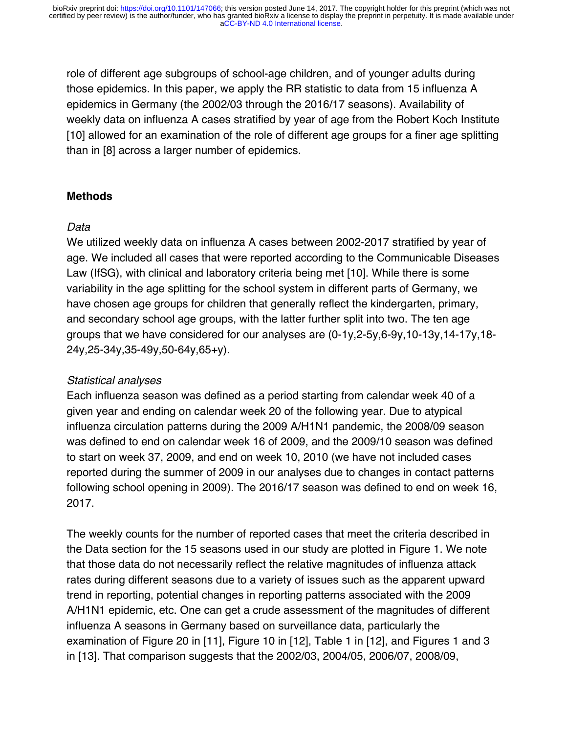role of different age subgroups of school-age children, and of younger adults during those epidemics. In this paper, we apply the RR statistic to data from 15 influenza A epidemics in Germany (the 2002/03 through the 2016/17 seasons). Availability of weekly data on influenza A cases stratified by year of age from the Robert Koch Institute [10] allowed for an examination of the role of different age groups for a finer age splitting than in [8] across a larger number of epidemics.

### **Methods**

### *Data*

We utilized weekly data on influenza A cases between 2002-2017 stratified by year of age. We included all cases that were reported according to the Communicable Diseases Law (IfSG), with clinical and laboratory criteria being met [10]. While there is some variability in the age splitting for the school system in different parts of Germany, we have chosen age groups for children that generally reflect the kindergarten, primary, and secondary school age groups, with the latter further split into two. The ten age groups that we have considered for our analyses are (0-1y,2-5y,6-9y,10-13y,14-17y,18- 24y,25-34y,35-49y,50-64y,65+y).

## *Statistical analyses*

Each influenza season was defined as a period starting from calendar week 40 of a given year and ending on calendar week 20 of the following year. Due to atypical influenza circulation patterns during the 2009 A/H1N1 pandemic, the 2008/09 season was defined to end on calendar week 16 of 2009, and the 2009/10 season was defined to start on week 37, 2009, and end on week 10, 2010 (we have not included cases reported during the summer of 2009 in our analyses due to changes in contact patterns following school opening in 2009). The 2016/17 season was defined to end on week 16, 2017.

The weekly counts for the number of reported cases that meet the criteria described in the Data section for the 15 seasons used in our study are plotted in Figure 1. We note that those data do not necessarily reflect the relative magnitudes of influenza attack rates during different seasons due to a variety of issues such as the apparent upward trend in reporting, potential changes in reporting patterns associated with the 2009 A/H1N1 epidemic, etc. One can get a crude assessment of the magnitudes of different influenza A seasons in Germany based on surveillance data, particularly the examination of Figure 20 in [11], Figure 10 in [12], Table 1 in [12], and Figures 1 and 3 in [13]. That comparison suggests that the 2002/03, 2004/05, 2006/07, 2008/09,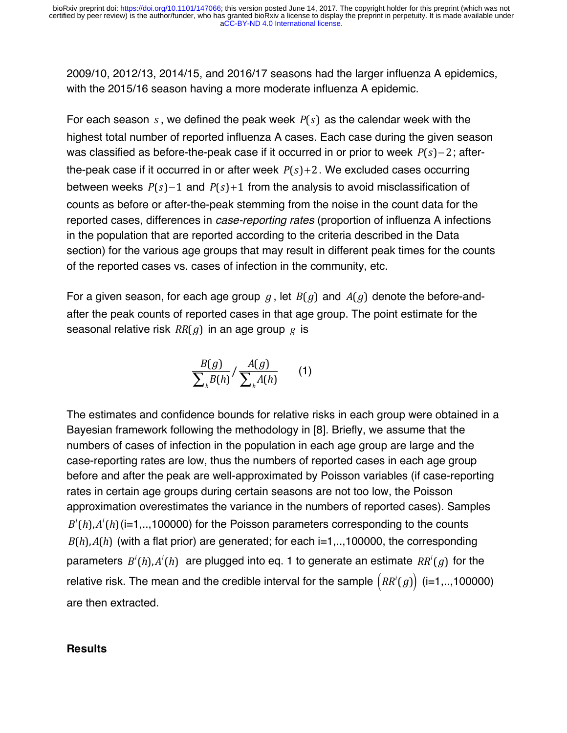2009/10, 2012/13, 2014/15, and 2016/17 seasons had the larger influenza A epidemics, with the 2015/16 season having a more moderate influenza A epidemic.

For each season *s* , we defined the peak week *P*(*s*) as the calendar week with the highest total number of reported influenza A cases. Each case during the given season was classified as before-the-peak case if it occurred in or prior to week *P*(*s*)−2; afterthe-peak case if it occurred in or after week *P*(*s*)+2. We excluded cases occurring between weeks *P*(*s*)−1 and *P*(*s*)+1 from the analysis to avoid misclassification of counts as before or after-the-peak stemming from the noise in the count data for the reported cases, differences in *case-reporting rates* (proportion of influenza A infections in the population that are reported according to the criteria described in the Data section) for the various age groups that may result in different peak times for the counts of the reported cases vs. cases of infection in the community, etc.

For a given season, for each age group *g* , let *B*(*g*) and *A*(*g*) denote the before-andafter the peak counts of reported cases in that age group. The point estimate for the seasonal relative risk *RR*(*g*) in an age group *g* is

$$
\frac{B(g)}{\sum_{h} B(h)}/\frac{A(g)}{\sum_{h} A(h)}\qquad (1)
$$

The estimates and confidence bounds for relative risks in each group were obtained in a Bayesian framework following the methodology in [8]. Briefly, we assume that the numbers of cases of infection in the population in each age group are large and the case-reporting rates are low, thus the numbers of reported cases in each age group before and after the peak are well-approximated by Poisson variables (if case-reporting rates in certain age groups during certain seasons are not too low, the Poisson approximation overestimates the variance in the numbers of reported cases). Samples  $B<sup>i</sup>(h)$ , $A<sup>i</sup>(h)$  (i=1,..,100000) for the Poisson parameters corresponding to the counts  $B(h)$ , $A(h)$  (with a flat prior) are generated; for each i=1,..,100000, the corresponding parameters *B<sup>i</sup>* (*h*),*A<sup>i</sup>* (*h*) are plugged into eq. 1 to generate an estimate *RR<sup>i</sup>* (*g*) for the relative risk. The mean and the credible interval for the sample  $\big(RR^i(g)\big)$  (i=1,..,100000) are then extracted.

#### **Results**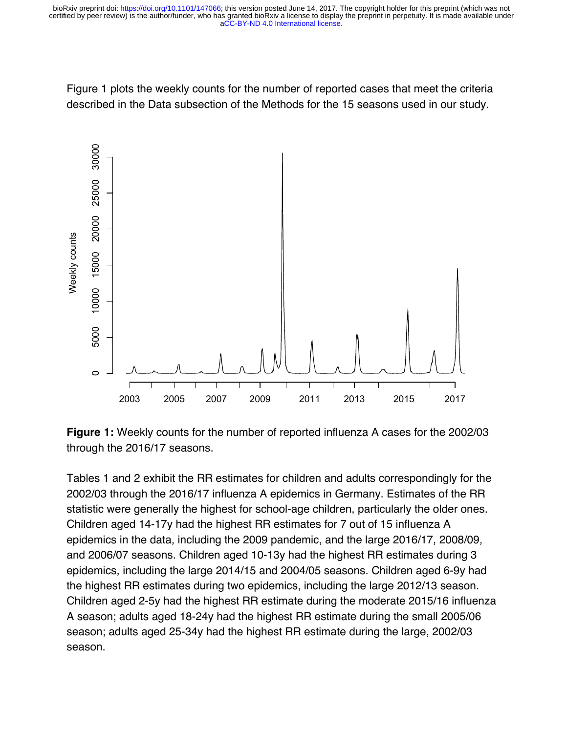Figure 1 plots the weekly counts for the number of reported cases that meet the criteria described in the Data subsection of the Methods for the 15 seasons used in our study.



**Figure 1:** Weekly counts for the number of reported influenza A cases for the 2002/03 through the 2016/17 seasons.

Tables 1 and 2 exhibit the RR estimates for children and adults correspondingly for the 2002/03 through the 2016/17 influenza A epidemics in Germany. Estimates of the RR statistic were generally the highest for school-age children, particularly the older ones. Children aged 14-17y had the highest RR estimates for 7 out of 15 influenza A epidemics in the data, including the 2009 pandemic, and the large 2016/17, 2008/09, and 2006/07 seasons. Children aged 10-13y had the highest RR estimates during 3 epidemics, including the large 2014/15 and 2004/05 seasons. Children aged 6-9y had the highest RR estimates during two epidemics, including the large 2012/13 season. Children aged 2-5y had the highest RR estimate during the moderate 2015/16 influenza A season; adults aged 18-24y had the highest RR estimate during the small 2005/06 season; adults aged 25-34y had the highest RR estimate during the large, 2002/03 season.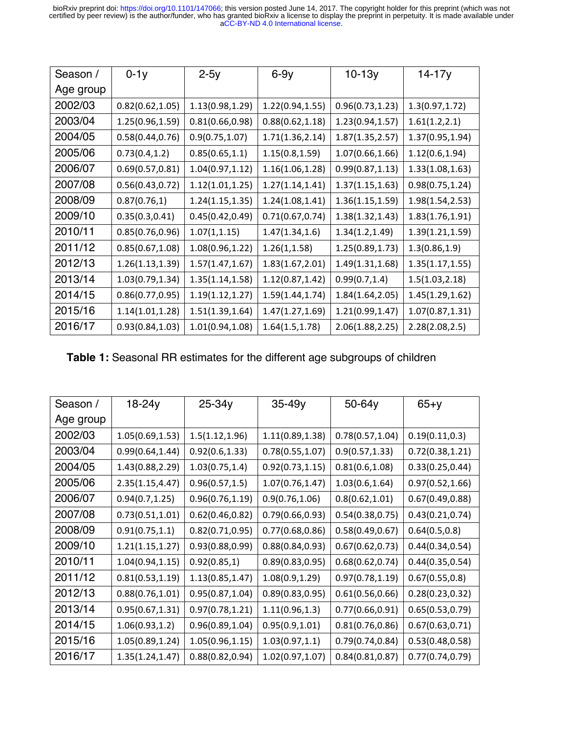[aCC-BY-ND 4.0 International license.](http://creativecommons.org/licenses/by-nd/4.0/) certified by peer review) is the author/funder, who has granted bioRxiv a license to display the preprint in perpetuity. It is made available under bioRxiv preprint doi: [https://doi.org/10.1101/147066;](https://doi.org/10.1101/147066) this version posted June 14, 2017. The copyright holder for this preprint (which was not

| Season /  | $0-1y$           | $2-5y$           | $6-9y$           | $10 - 13y$       | 14-17y           |
|-----------|------------------|------------------|------------------|------------------|------------------|
| Age group |                  |                  |                  |                  |                  |
| 2002/03   | 0.82(0.62, 1.05) | 1.13(0.98,1.29)  | 1.22(0.94,1.55)  | 0.96(0.73, 1.23) | 1.3(0.97, 1.72)  |
| 2003/04   | 1.25(0.96,1.59)  | 0.81(0.66, 0.98) | 0.88(0.62, 1.18) | 1.23(0.94, 1.57) | 1.61(1.2, 2.1)   |
| 2004/05   | 0.58(0.44, 0.76) | 0.9(0.75, 1.07)  | 1.71(1.36, 2.14) | 1.87(1.35, 2.57) | 1.37(0.95,1.94)  |
| 2005/06   | 0.73(0.4, 1.2)   | 0.85(0.65, 1.1)  | 1.15(0.8, 1.59)  | 1.07(0.66, 1.66) | 1.12(0.6, 1.94)  |
| 2006/07   | 0.69(0.57, 0.81) | 1.04(0.97, 1.12) | 1.16(1.06, 1.28) | 0.99(0.87, 1.13) | 1.33(1.08,1.63)  |
| 2007/08   | 0.56(0.43, 0.72) | 1.12(1.01, 1.25) | 1.27(1.14, 1.41) | 1.37(1.15, 1.63) | 0.98(0.75, 1.24) |
| 2008/09   | 0.87(0.76, 1)    | 1.24(1.15, 1.35) | 1.24(1.08, 1.41) | 1.36(1.15, 1.59) | 1.98(1.54,2.53)  |
| 2009/10   | 0.35(0.3, 0.41)  | 0.45(0.42, 0.49) | 0.71(0.67, 0.74) | 1.38(1.32, 1.43) | 1.83(1.76, 1.91) |
| 2010/11   | 0.85(0.76, 0.96) | 1.07(1, 1.15)    | 1.47(1.34, 1.6)  | 1.34(1.2, 1.49)  | 1.39(1.21,1.59)  |
| 2011/12   | 0.85(0.67, 1.08) | 1.08(0.96, 1.22) | 1.26(1, 1.58)    | 1.25(0.89, 1.73) | 1.3(0.86, 1.9)   |
| 2012/13   | 1.26(1.13, 1.39) | 1.57(1.47, 1.67) | 1.83(1.67, 2.01) | 1.49(1.31, 1.68) | 1.35(1.17, 1.55) |
| 2013/14   | 1.03(0.79, 1.34) | 1.35(1.14, 1.58) | 1.12(0.87, 1.42) | 0.99(0.7, 1.4)   | 1.5(1.03, 2.18)  |
| 2014/15   | 0.86(0.77, 0.95) | 1.19(1.12, 1.27) | 1.59(1.44, 1.74) | 1.84(1.64, 2.05) | 1.45(1.29,1.62)  |
| 2015/16   | 1.14(1.01, 1.28) | 1.51(1.39, 1.64) | 1.47(1.27, 1.69) | 1.21(0.99, 1.47) | 1.07(0.87, 1.31) |
| 2016/17   | 0.93(0.84, 1.03) | 1.01(0.94, 1.08) | 1.64(1.5, 1.78)  | 2.06(1.88, 2.25) | 2.28(2.08, 2.5)  |

**Table 1:** Seasonal RR estimates for the different age subgroups of children

| Season /  | 18-24y           | 25-34y           | 35-49y           | 50-64y           | $65 + y$         |
|-----------|------------------|------------------|------------------|------------------|------------------|
| Age group |                  |                  |                  |                  |                  |
| 2002/03   | 1.05(0.69,1.53)  | 1.5(1.12, 1.96)  | 1.11(0.89, 1.38) | 0.78(0.57, 1.04) | 0.19(0.11, 0.3)  |
| 2003/04   | 0.99(0.64, 1.44) | 0.92(0.6, 1.33)  | 0.78(0.55, 1.07) | 0.9(0.57, 1.33)  | 0.72(0.38, 1.21) |
| 2004/05   | 1.43(0.88,2.29)  | 1.03(0.75, 1.4)  | 0.92(0.73, 1.15) | 0.81(0.6, 1.08)  | 0.33(0.25, 0.44) |
| 2005/06   | 2.35(1.15, 4.47) | 0.96(0.57, 1.5)  | 1.07(0.76, 1.47) | 1.03(0.6, 1.64)  | 0.97(0.52, 1.66) |
| 2006/07   | 0.94(0.7, 1.25)  | 0.96(0.76, 1.19) | 0.9(0.76, 1.06)  | 0.8(0.62, 1.01)  | 0.67(0.49, 0.88) |
| 2007/08   | 0.73(0.51, 1.01) | 0.62(0.46, 0.82) | 0.79(0.66, 0.93) | 0.54(0.38, 0.75) | 0.43(0.21, 0.74) |
| 2008/09   | 0.91(0.75, 1.1)  | 0.82(0.71, 0.95) | 0.77(0.68, 0.86) | 0.58(0.49, 0.67) | 0.64(0.5, 0.8)   |
| 2009/10   | 1.21(1.15, 1.27) | 0.93(0.88, 0.99) | 0.88(0.84, 0.93) | 0.67(0.62, 0.73) | 0.44(0.34, 0.54) |
| 2010/11   | 1.04(0.94, 1.15) | 0.92(0.85, 1)    | 0.89(0.83, 0.95) | 0.68(0.62, 0.74) | 0.44(0.35, 0.54) |
| 2011/12   | 0.81(0.53, 1.19) | 1.13(0.85, 1.47) | 1.08(0.9, 1.29)  | 0.97(0.78, 1.19) | 0.67(0.55, 0.8)  |
| 2012/13   | 0.88(0.76, 1.01) | 0.95(0.87, 1.04) | 0.89(0.83, 0.95) | 0.61(0.56, 0.66) | 0.28(0.23, 0.32) |
| 2013/14   | 0.95(0.67, 1.31) | 0.97(0.78, 1.21) | 1.11(0.96, 1.3)  | 0.77(0.66, 0.91) | 0.65(0.53, 0.79) |
| 2014/15   | 1.06(0.93, 1.2)  | 0.96(0.89, 1.04) | 0.95(0.9, 1.01)  | 0.81(0.76, 0.86) | 0.67(0.63, 0.71) |
| 2015/16   | 1.05(0.89,1.24)  | 1.05(0.96, 1.15) | 1.03(0.97, 1.1)  | 0.79(0.74, 0.84) | 0.53(0.48, 0.58) |
| 2016/17   | 1.35(1.24, 1.47) | 0.88(0.82, 0.94) | 1.02(0.97, 1.07) | 0.84(0.81, 0.87) | 0.77(0.74, 0.79) |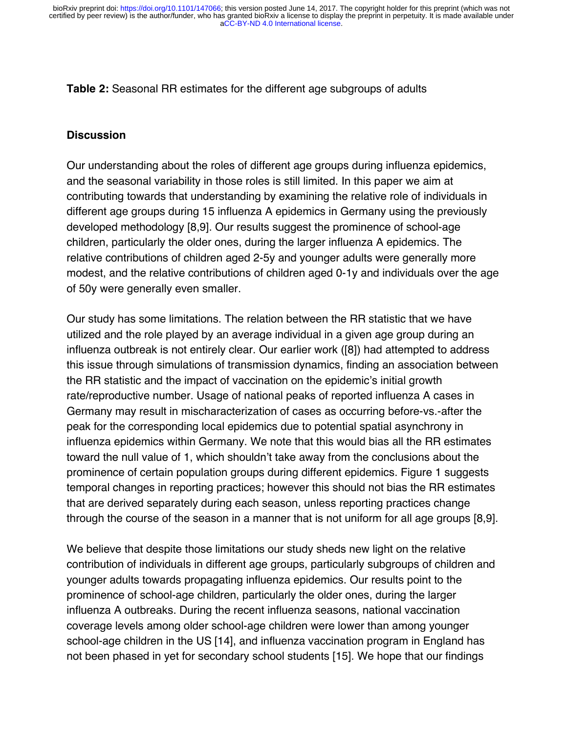**Table 2:** Seasonal RR estimates for the different age subgroups of adults

#### **Discussion**

Our understanding about the roles of different age groups during influenza epidemics, and the seasonal variability in those roles is still limited. In this paper we aim at contributing towards that understanding by examining the relative role of individuals in different age groups during 15 influenza A epidemics in Germany using the previously developed methodology [8,9]. Our results suggest the prominence of school-age children, particularly the older ones, during the larger influenza A epidemics. The relative contributions of children aged 2-5y and younger adults were generally more modest, and the relative contributions of children aged 0-1y and individuals over the age of 50y were generally even smaller.

Our study has some limitations. The relation between the RR statistic that we have utilized and the role played by an average individual in a given age group during an influenza outbreak is not entirely clear. Our earlier work ([8]) had attempted to address this issue through simulations of transmission dynamics, finding an association between the RR statistic and the impact of vaccination on the epidemic's initial growth rate/reproductive number. Usage of national peaks of reported influenza A cases in Germany may result in mischaracterization of cases as occurring before-vs.-after the peak for the corresponding local epidemics due to potential spatial asynchrony in influenza epidemics within Germany. We note that this would bias all the RR estimates toward the null value of 1, which shouldn't take away from the conclusions about the prominence of certain population groups during different epidemics. Figure 1 suggests temporal changes in reporting practices; however this should not bias the RR estimates that are derived separately during each season, unless reporting practices change through the course of the season in a manner that is not uniform for all age groups [8,9].

We believe that despite those limitations our study sheds new light on the relative contribution of individuals in different age groups, particularly subgroups of children and younger adults towards propagating influenza epidemics. Our results point to the prominence of school-age children, particularly the older ones, during the larger influenza A outbreaks. During the recent influenza seasons, national vaccination coverage levels among older school-age children were lower than among younger school-age children in the US [14], and influenza vaccination program in England has not been phased in yet for secondary school students [15]. We hope that our findings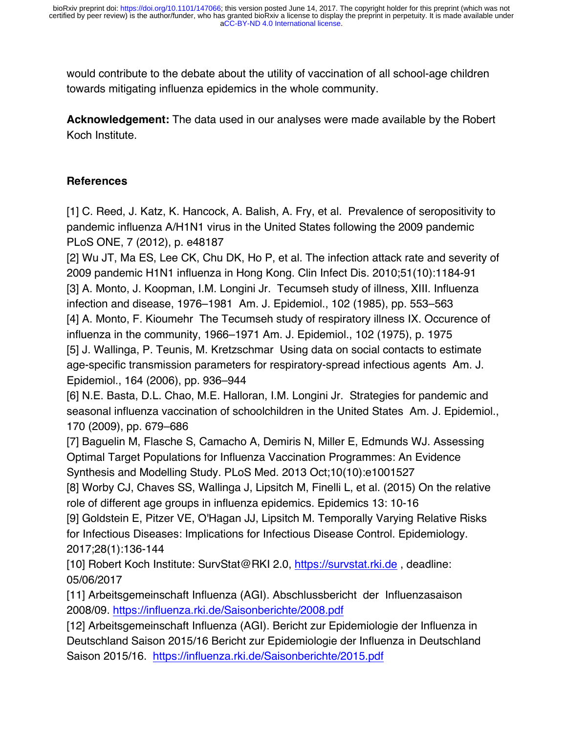would contribute to the debate about the utility of vaccination of all school-age children towards mitigating influenza epidemics in the whole community.

**Acknowledgement:** The data used in our analyses were made available by the Robert Koch Institute.

## **References**

[1] C. Reed, J. Katz, K. Hancock, A. Balish, A. Fry, et al. Prevalence of seropositivity to pandemic influenza A/H1N1 virus in the United States following the 2009 pandemic PLoS ONE, 7 (2012), p. e48187

[2] Wu JT, Ma ES, Lee CK, Chu DK, Ho P, et al. The infection attack rate and severity of 2009 pandemic H1N1 influenza in Hong Kong. Clin Infect Dis. 2010;51(10):1184-91 [3] A. Monto, J. Koopman, I.M. Longini Jr. Tecumseh study of illness, XIII. Influenza infection and disease, 1976–1981 Am. J. Epidemiol., 102 (1985), pp. 553–563 [4] A. Monto, F. Kioumehr The Tecumseh study of respiratory illness IX. Occurence of influenza in the community, 1966–1971 Am. J. Epidemiol., 102 (1975), p. 1975 [5] J. Wallinga, P. Teunis, M. Kretzschmar Using data on social contacts to estimate age-specific transmission parameters for respiratory-spread infectious agents Am. J. Epidemiol., 164 (2006), pp. 936–944

[6] N.E. Basta, D.L. Chao, M.E. Halloran, I.M. Longini Jr. Strategies for pandemic and seasonal influenza vaccination of schoolchildren in the United States Am. J. Epidemiol., 170 (2009), pp. 679–686

[7] Baguelin M, Flasche S, Camacho A, Demiris N, Miller E, Edmunds WJ. Assessing Optimal Target Populations for Influenza Vaccination Programmes: An Evidence Synthesis and Modelling Study. PLoS Med. 2013 Oct;10(10):e1001527

[8] Worby CJ, Chaves SS, Wallinga J, Lipsitch M, Finelli L, et al. (2015) On the relative role of different age groups in influenza epidemics. Epidemics 13: 10-16

[9] Goldstein E, Pitzer VE, O'Hagan JJ, Lipsitch M. Temporally Varying Relative Risks for Infectious Diseases: Implications for Infectious Disease Control. Epidemiology. 2017;28(1):136-144

[10] Robert Koch Institute: SurvStat@RKI 2.0, https://survstat.rki.de, deadline: 05/06/2017

[11] Arbeitsgemeinschaft Influenza (AGI). Abschlussbericht der Influenzasaison 2008/09. https://influenza.rki.de/Saisonberichte/2008.pdf

[12] Arbeitsgemeinschaft Influenza (AGI). Bericht zur Epidemiologie der Influenza in Deutschland Saison 2015/16 Bericht zur Epidemiologie der Influenza in Deutschland Saison 2015/16. https://influenza.rki.de/Saisonberichte/2015.pdf